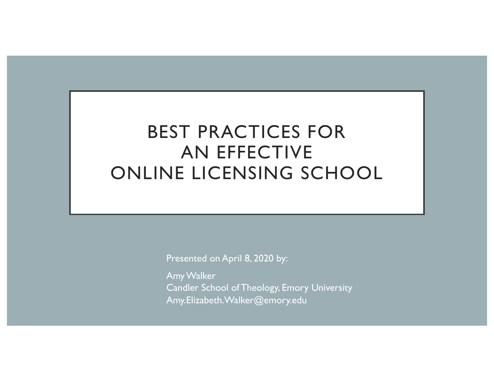# BEST PRACTICES FOR AN EFFECTIVE ONLINE LICENSING SCHOOL

Presented on April 8, 2020 by:

Amy Walker Candler School of Theology, Emory University Amy.Elizabeth.Walker@emory.edu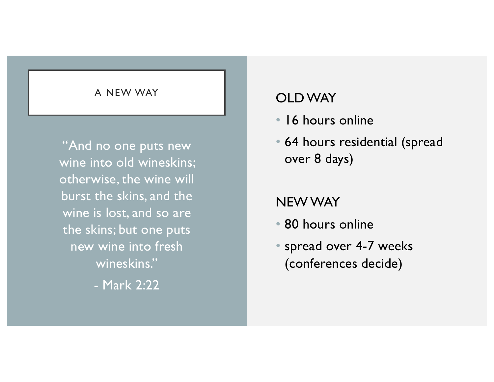### A NEW WAY **CLD WAY**

"And no one puts new wine into old wineskins; otherwise, the wine will burst the skins, and the wine is lost, and so are the skins; but one puts new wine into fresh wineskins."

- Mark 2:22

- 16 hours online
- 64 hours residential (spread over 8 days)

### NEW WAY

- 80 hours online
- spread over 4-7 weeks (conferences decide)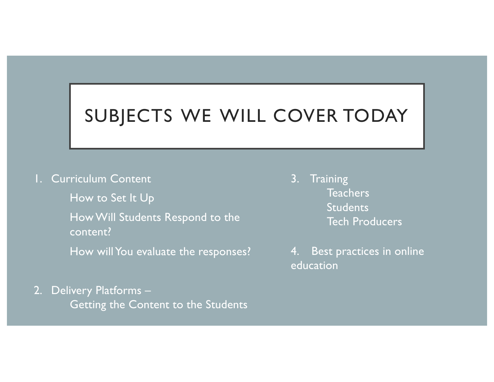# SUBJECTS WE WILL COVER TODAY

1. Curriculum Content

How to Set It Up

• How Will Students Respond to the content?

How will You evaluate the responses?

2. Delivery Platforms – Getting the Content to the Students 3. Training **Teachers Students** Tech Producers

4. Best practices in online education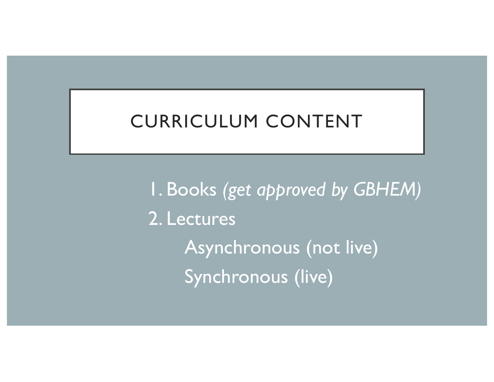# CURRICULUM CONTENT

1. Books *(get approved by GBHEM)* 2. Lectures Asynchronous (not live) Synchronous (live)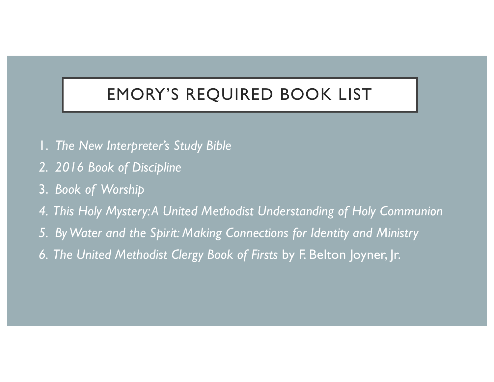# EMORY'S REQUIRED BOOK LIST

- 1. *The New Interpreter's Study Bible*
- *2. 2016 Book of Discipline*
- 3. *Book of Worship*
- *4. This Holy Mystery: A United Methodist Understanding of Holy Communion*
- *5. By Water and the Spirit: Making Connections for Identity and Ministry*
- *6. The United Methodist Clergy Book of Firsts* by F. Belton Joyner, Jr.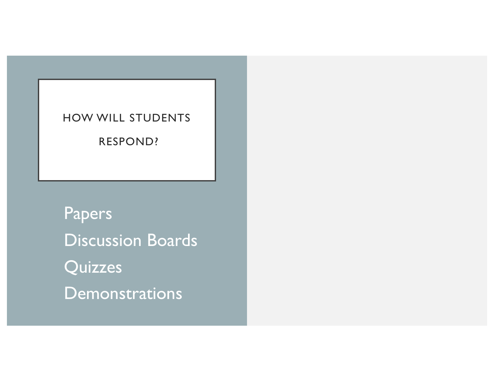Papers Discussion Boards **Quizzes Demonstrations**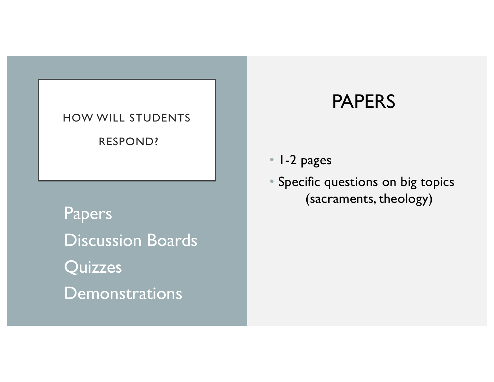Papers Discussion Boards **Quizzes Demonstrations** 

### PAPERS

• 1-2 pages

• Specific questions on big topics (sacraments, theology)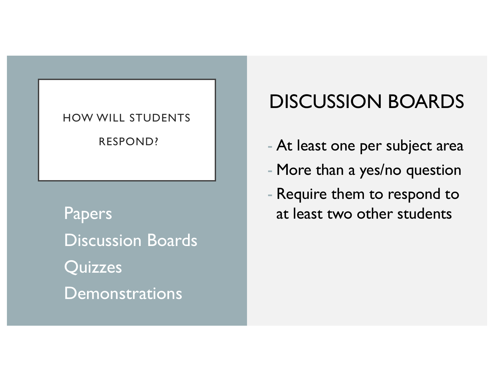Discussion Boards **Quizzes Demonstrations** 

# DISCUSSION BOARDS

- At least one per subject area
- More than a yes/no question
- Require them to respond to Papers at least two other students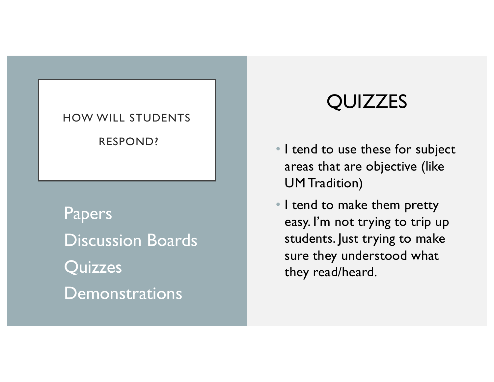Papers Discussion Boards **Quizzes Demonstrations** 

# QUIZZES

- I tend to use these for subject areas that are objective (like UM Tradition)
- I tend to make them pretty easy. I'm not trying to trip up students. Just trying to make sure they understood what they read/heard.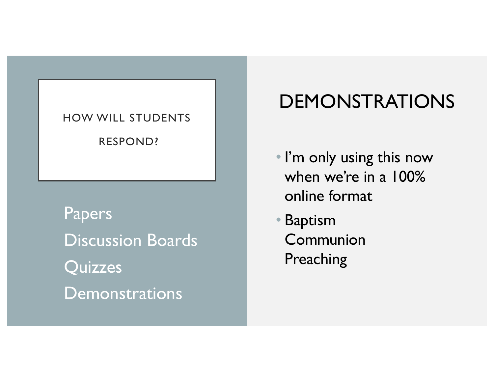Papers Discussion Boards **Quizzes Demonstrations** 

# DEMONSTRATIONS

- I'm only using this now when we're in a 100% online format
- Baptism Communion Preaching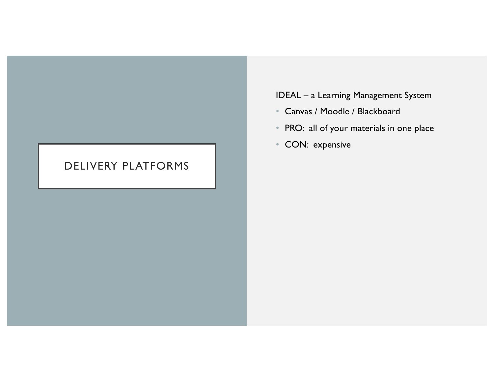### DELIVERY PLATFORMS

### IDEAL – a Learning Management System

- Canvas / Moodle / Blackboard
- PRO: all of your materials in one place
- CON: expensive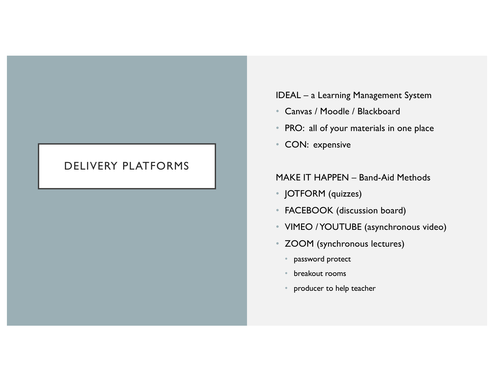### DELIVERY PLATFORMS

#### IDEAL – a Learning Management System

- Canvas / Moodle / Blackboard
- PRO: all of your materials in one place
- CON: expensive

#### MAKE IT HAPPEN – Band-Aid Methods

- JOTFORM (quizzes)
- FACEBOOK (discussion board)
- VIMEO / YOUTUBE (asynchronous video)
- ZOOM (synchronous lectures)
	- password protect
	- breakout rooms
	- producer to help teacher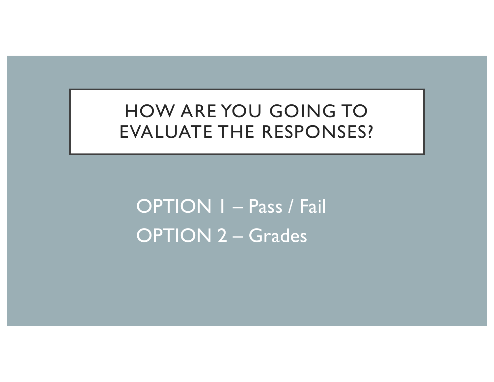HOW ARE YOU GOING TO EVALUATE THE RESPONSES?

OPTION 1 – Pass / Fail OPTION 2 – Grades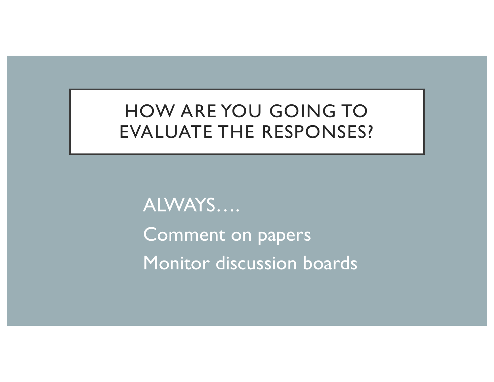HOW ARE YOU GOING TO EVALUATE THE RESPONSES?

ALWAYS…. Comment on papers Monitor discussion boards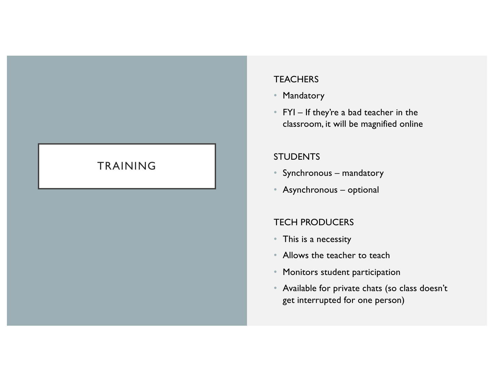#### **TEACHERS**

- Mandatory
- FYI If they're a bad teacher in the classroom, it will be magnified online

#### **STUDENTS**

- Synchronous mandatory
- Asynchronous optional

#### TECH PRODUCERS

- This is a necessity
- Allows the teacher to teach
- Monitors student participation
- Available for private chats (so class doesn't get interrupted for one person)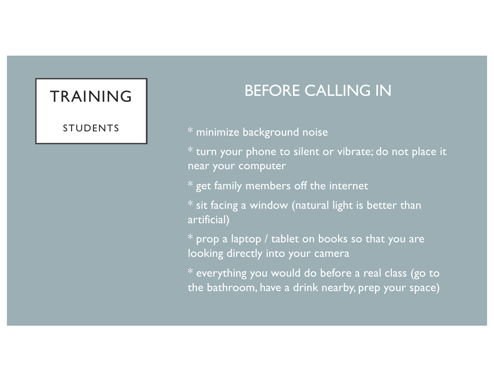STUDENTS

### BEFORE CALLING IN

\* minimize background noise

\* turn your phone to silent or vibrate; do not place it near your computer

\* get family members off the internet

 $*$  sit facing a window (natural light is better than artificial)

\* prop a laptop / tablet on books so that you are looking directly into your camera

\* everything you would do before a real class (go to the bathroom, have a drink nearby, prep your space)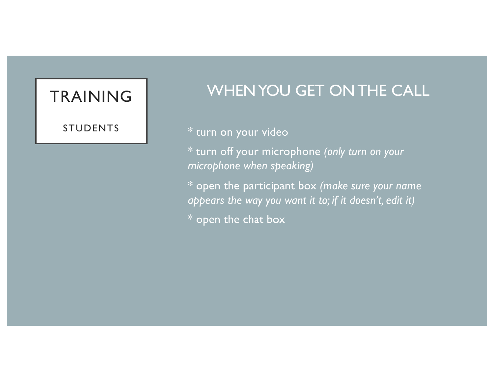#### STUDENTS

### WHEN YOU GET ON THE CALL

### \* turn on your video

\* turn off your microphone *(only turn on your microphone when speaking)*

\* open the participant box *(make sure your name appears the way you want it to; if it doesn't, edit it)*

\* open the chat box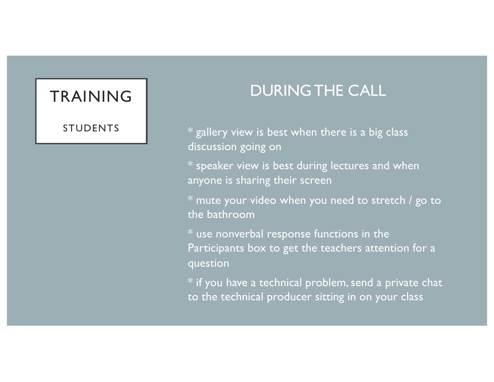STUDENTS

### DURING THE CALL

 $*$  gallery view is best when there is a big class discussion going on

\* speaker view is best during lectures and when anyone is sharing their screen

\* mute your video when you need to stretch / go to the bathroom

\* use nonverbal response functions in the Participants box to get the teachers attention for a question

 $*$  if you have a technical problem, send a private chat to the technical producer sitting in on your class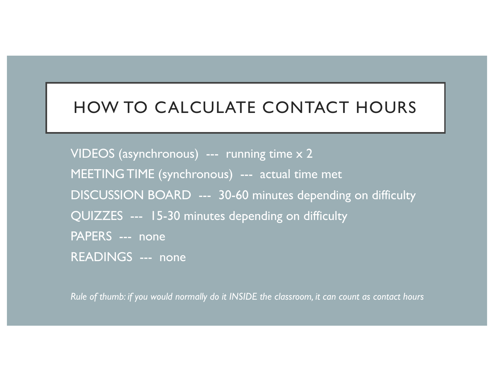### HOW TO CALCULATE CONTACT HOURS

VIDEOS (asynchronous) --- running time x 2 MEETING TIME (synchronous) --- actual time met DISCUSSION BOARD --- 30-60 minutes depending on difficulty QUIZZES --- 15-30 minutes depending on difficulty PAPERS --- none READINGS --- none

*Rule of thumb: if you would normally do it INSIDE the classroom, it can count as contact hours*